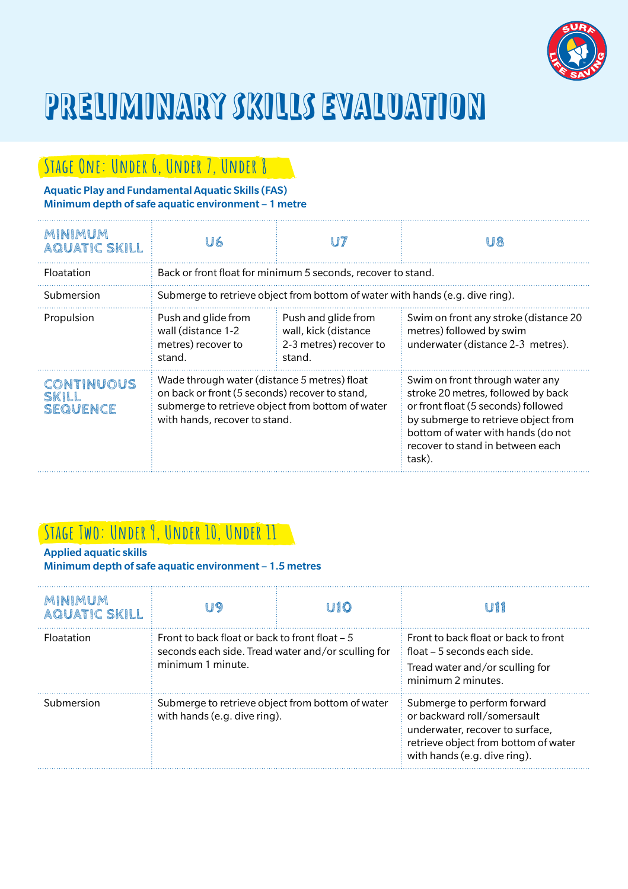

# PRELIMINARY SKILLS EVALUATION

## **Stage One: Under 6, Under 7, Under 8**

#### Aquatic Play and Fundamental Aquatic Skills (FAS) Minimum depth of safe aquatic environment – 1 metre

| MINIMUM<br><b>AQUATIC SKILL</b>        | U6                                                                                                                                                                                  |                                                                                 | U8                                                                                                                                                                                                                                      |  |
|----------------------------------------|-------------------------------------------------------------------------------------------------------------------------------------------------------------------------------------|---------------------------------------------------------------------------------|-----------------------------------------------------------------------------------------------------------------------------------------------------------------------------------------------------------------------------------------|--|
| Floatation                             | Back or front float for minimum 5 seconds, recover to stand.                                                                                                                        |                                                                                 |                                                                                                                                                                                                                                         |  |
| Submersion                             | Submerge to retrieve object from bottom of water with hands (e.g. dive ring).                                                                                                       |                                                                                 |                                                                                                                                                                                                                                         |  |
| Propulsion                             | Push and glide from<br>wall (distance 1-2<br>metres) recover to<br>stand.                                                                                                           | Push and glide from<br>wall, kick (distance<br>2-3 metres) recover to<br>stand. | Swim on front any stroke (distance 20<br>metres) followed by swim<br>underwater (distance 2-3 metres).                                                                                                                                  |  |
| CONTINUOUS<br>SKILL<br><b>SEQUENCE</b> | Wade through water (distance 5 metres) float<br>on back or front (5 seconds) recover to stand,<br>submerge to retrieve object from bottom of water<br>with hands, recover to stand. |                                                                                 | Swim on front through water any<br>stroke 20 metres, followed by back<br>or front float (5 seconds) followed<br>by submerge to retrieve object from<br>bottom of water with hands (do not<br>recover to stand in between each<br>task). |  |

### **Stage Two: Under 9, Under 10, Under 11**

#### Applied aquatic skills

Minimum depth of safe aquatic environment – 1.5 metres

| MINIMUM<br><b>AQUATIC SKILL</b> |                                                                                                                            | <b>U10</b> | m                                                                                                                                                                     |
|---------------------------------|----------------------------------------------------------------------------------------------------------------------------|------------|-----------------------------------------------------------------------------------------------------------------------------------------------------------------------|
| <b>Floatation</b>               | Front to back float or back to front float $-5$<br>seconds each side. Tread water and/or sculling for<br>minimum 1 minute. |            | Front to back float or back to front<br>float – 5 seconds each side.<br>Tread water and/or sculling for<br>minimum 2 minutes.                                         |
| Submersion                      | Submerge to retrieve object from bottom of water<br>with hands (e.g. dive ring).                                           |            | Submerge to perform forward<br>or backward roll/somersault<br>underwater, recover to surface.<br>retrieve object from bottom of water<br>with hands (e.g. dive ring). |